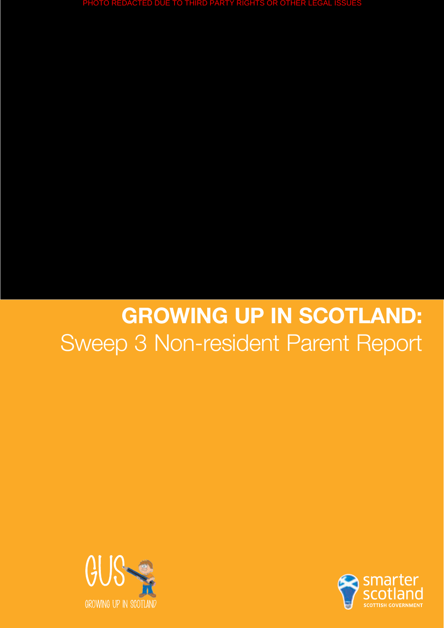<u>NCTED DUE TO THIRD PARTY RIGHTS OR OTHER LEGAL ISSUES</u>

# **GROWING UP IN SCOTLAND:** Sweep 3 Non-resident Parent Report



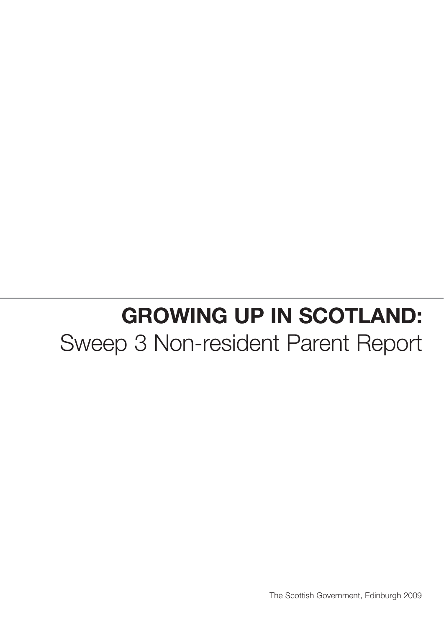# **GROWING UP IN SCOTLAND:** Sweep 3 Non-resident Parent Report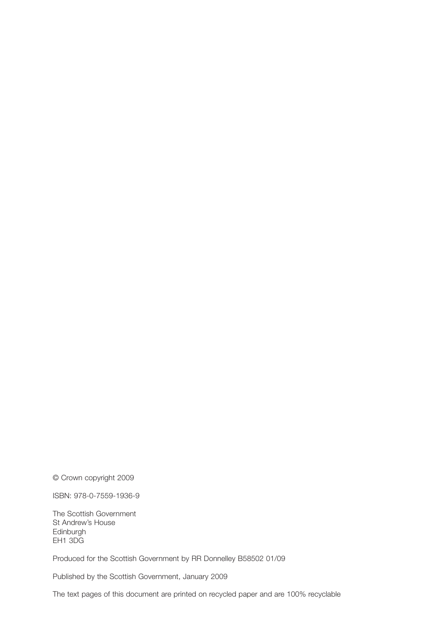© Crown copyright 2009

ISBN: 978-0-7559-1936-9

The Scottish Government St Andrew's House Edinburgh EH1 3DG

Produced for the Scottish Government by RR Donnelley B58502 01/09

Published by the Scottish Government, January 2009

The text pages of this document are printed on recycled paper and are 100% recyclable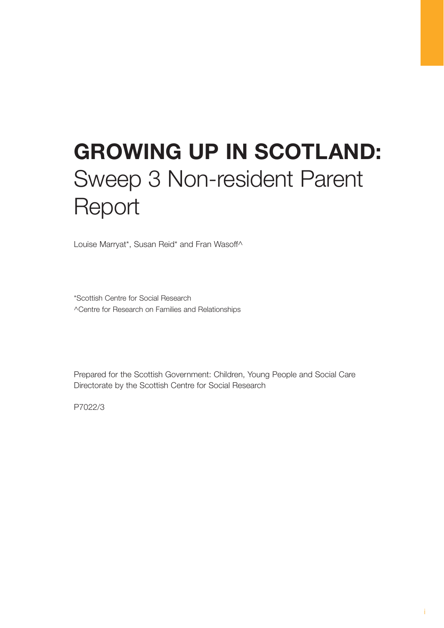## **GROWING UP IN SCOTLAND:** Sweep 3 Non-resident Parent **Report**

Louise Marryat\*, Susan Reid\* and Fran Wasoff^

\*Scottish Centre for Social Research ^Centre for Research on Families and Relationships

Prepared for the Scottish Government: Children, Young People and Social Care Directorate by the Scottish Centre for Social Research

P7022/3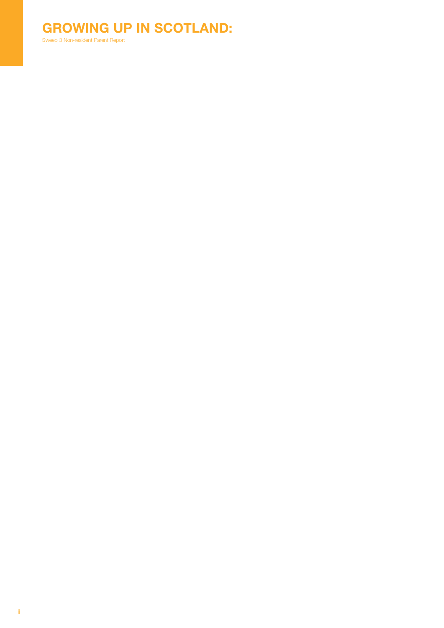### **GROWING UP IN SCOTLAND:**

Sweep 3 Non-resident Parent Report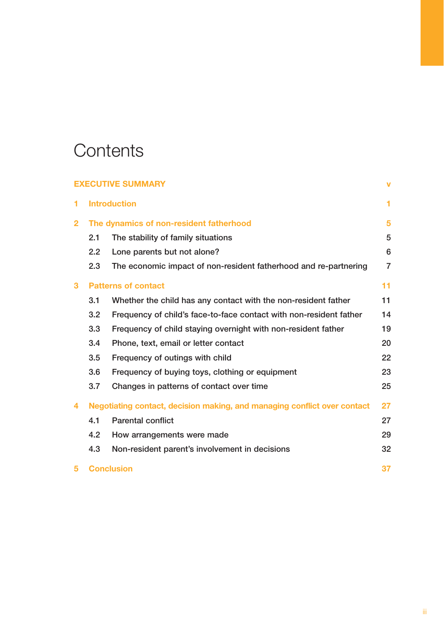## **Contents**

|                |     | <b>EXECUTIVE SUMMARY</b>                                                 | $\mathbf v$    |
|----------------|-----|--------------------------------------------------------------------------|----------------|
| 1              |     | <b>Introduction</b>                                                      | 1              |
| $\overline{2}$ |     | The dynamics of non-resident fatherhood                                  | 5              |
|                | 2.1 | The stability of family situations                                       | 5              |
|                | 2.2 | Lone parents but not alone?                                              | 6              |
|                | 2.3 | The economic impact of non-resident fatherhood and re-partnering         | $\overline{7}$ |
| 3              |     | <b>Patterns of contact</b>                                               | 11             |
|                | 3.1 | Whether the child has any contact with the non-resident father           | 11             |
|                | 3.2 | Frequency of child's face-to-face contact with non-resident father       | 14             |
|                | 3.3 | Frequency of child staying overnight with non-resident father            | 19             |
|                | 3.4 | Phone, text, email or letter contact                                     | 20             |
|                | 3.5 | Frequency of outings with child                                          | 22             |
|                | 3.6 | Frequency of buying toys, clothing or equipment                          | 23             |
|                | 3.7 | Changes in patterns of contact over time                                 | 25             |
| 4              |     | Negotiating contact, decision making, and managing conflict over contact | 27             |
|                | 4.1 | <b>Parental conflict</b>                                                 | 27             |
|                | 4.2 | How arrangements were made                                               | 29             |
|                | 4.3 | Non-resident parent's involvement in decisions                           | 32             |
| 5              |     | <b>Conclusion</b>                                                        | 37             |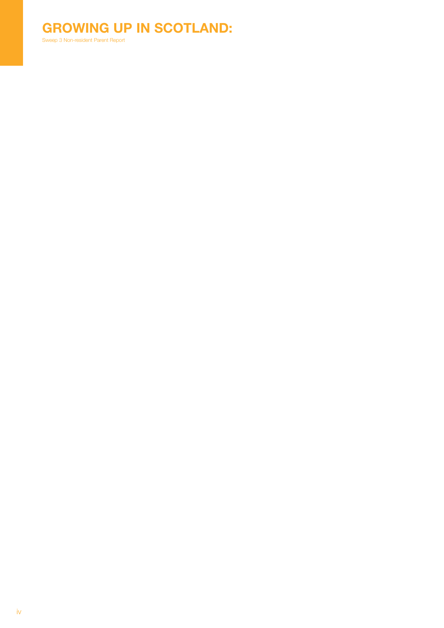### **GROWING UP IN SCOTLAND:**

Sweep 3 Non-resident Parent Report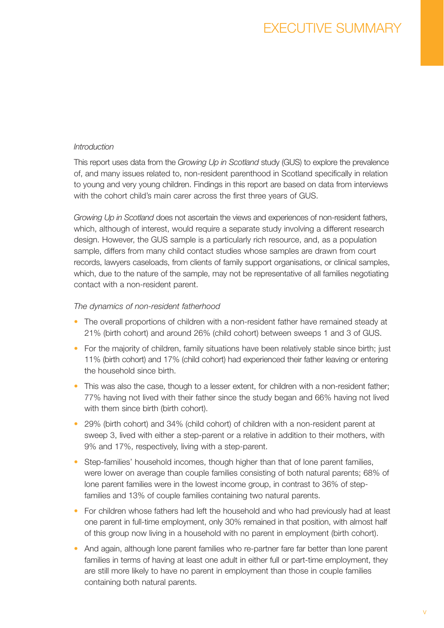#### *Introduction*

This report uses data from the *Growing Up in Scotland* study (GUS) to explore the prevalence of, and many issues related to, non-resident parenthood in Scotland specifically in relation to young and very young children. Findings in this report are based on data from interviews with the cohort child's main carer across the first three years of GUS.

*Growing Up in Scotland* does not ascertain the views and experiences of non-resident fathers, which, although of interest, would require a separate study involving a different research design. However, the GUS sample is a particularly rich resource, and, as a population sample, differs from many child contact studies whose samples are drawn from court records, lawyers caseloads, from clients of family support organisations, or clinical samples, which, due to the nature of the sample, may not be representative of all families negotiating contact with a non-resident parent.

#### *The dynamics of non-resident fatherhood*

- The overall proportions of children with a non-resident father have remained steady at 21% (birth cohort) and around 26% (child cohort) between sweeps 1 and 3 of GUS.
- For the majority of children, family situations have been relatively stable since birth; just 11% (birth cohort) and 17% (child cohort) had experienced their father leaving or entering the household since birth.
- This was also the case, though to a lesser extent, for children with a non-resident father; 77% having not lived with their father since the study began and 66% having not lived with them since birth (birth cohort).
- 29% (birth cohort) and 34% (child cohort) of children with a non-resident parent at sweep 3, lived with either a step-parent or a relative in addition to their mothers, with 9% and 17%, respectively, living with a step-parent.
- Step-families' household incomes, though higher than that of lone parent families, were lower on average than couple families consisting of both natural parents; 68% of lone parent families were in the lowest income group, in contrast to 36% of stepfamilies and 13% of couple families containing two natural parents.
- For children whose fathers had left the household and who had previously had at least one parent in full-time employment, only 30% remained in that position, with almost half of this group now living in a household with no parent in employment (birth cohort).
- And again, although lone parent families who re-partner fare far better than lone parent families in terms of having at least one adult in either full or part-time employment, they are still more likely to have no parent in employment than those in couple families containing both natural parents.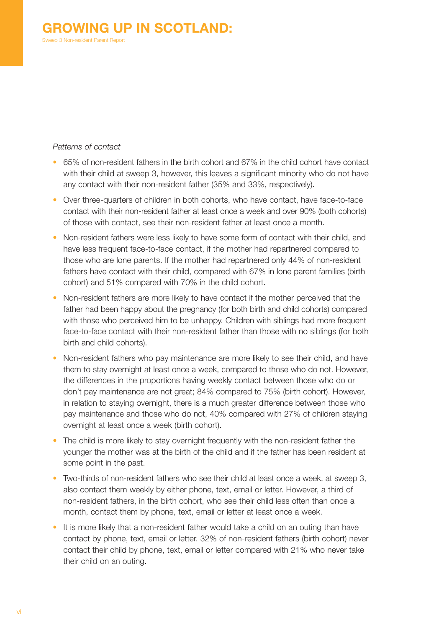Sweep 3 Non-resident Parent Report

#### *Patterns of contact*

- 65% of non-resident fathers in the birth cohort and 67% in the child cohort have contact with their child at sweep 3, however, this leaves a significant minority who do not have any contact with their non-resident father (35% and 33%, respectively).
- Over three-quarters of children in both cohorts, who have contact, have face-to-face contact with their non-resident father at least once a week and over 90% (both cohorts) of those with contact, see their non-resident father at least once a month.
- Non-resident fathers were less likely to have some form of contact with their child, and have less frequent face-to-face contact, if the mother had repartnered compared to those who are lone parents. If the mother had repartnered only 44% of non-resident fathers have contact with their child, compared with 67% in lone parent families (birth cohort) and 51% compared with 70% in the child cohort.
- Non-resident fathers are more likely to have contact if the mother perceived that the father had been happy about the pregnancy (for both birth and child cohorts) compared with those who perceived him to be unhappy. Children with siblings had more frequent face-to-face contact with their non-resident father than those with no siblings (for both birth and child cohorts).
- Non-resident fathers who pay maintenance are more likely to see their child, and have them to stay overnight at least once a week, compared to those who do not. However, the differences in the proportions having weekly contact between those who do or don't pay maintenance are not great; 84% compared to 75% (birth cohort). However, in relation to staying overnight, there is a much greater difference between those who pay maintenance and those who do not, 40% compared with 27% of children staying overnight at least once a week (birth cohort).
- The child is more likely to stay overnight frequently with the non-resident father the younger the mother was at the birth of the child and if the father has been resident at some point in the past.
- Two-thirds of non-resident fathers who see their child at least once a week, at sweep 3, also contact them weekly by either phone, text, email or letter. However, a third of non-resident fathers, in the birth cohort, who see their child less often than once a month, contact them by phone, text, email or letter at least once a week.
- It is more likely that a non-resident father would take a child on an outing than have contact by phone, text, email or letter. 32% of non-resident fathers (birth cohort) never contact their child by phone, text, email or letter compared with 21% who never take their child on an outing.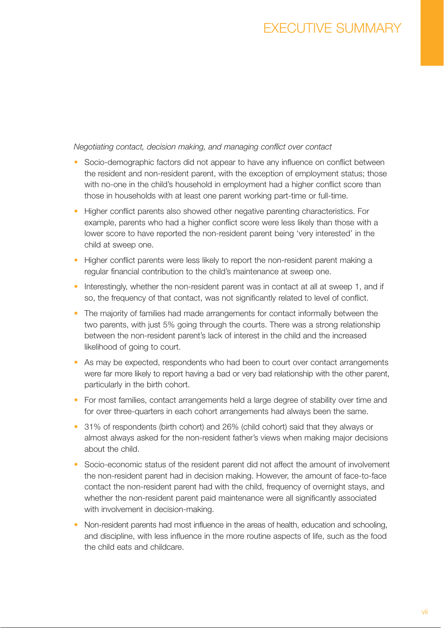### EXECUTIVE SUMMARY

#### *Negotiating contact, decision making, and managing conflict over contact*

- Socio-demographic factors did not appear to have any influence on conflict between the resident and non-resident parent, with the exception of employment status; those with no-one in the child's household in employment had a higher conflict score than those in households with at least one parent working part-time or full-time.
- Higher conflict parents also showed other negative parenting characteristics. For example, parents who had a higher conflict score were less likely than those with a lower score to have reported the non-resident parent being 'very interested' in the child at sweep one.
- Higher conflict parents were less likely to report the non-resident parent making a regular financial contribution to the child's maintenance at sweep one.
- Interestingly, whether the non-resident parent was in contact at all at sweep 1, and if so, the frequency of that contact, was not significantly related to level of conflict.
- The majority of families had made arrangements for contact informally between the two parents, with just 5% going through the courts. There was a strong relationship between the non-resident parent's lack of interest in the child and the increased likelihood of going to court.
- As may be expected, respondents who had been to court over contact arrangements were far more likely to report having a bad or very bad relationship with the other parent, particularly in the birth cohort.
- For most families, contact arrangements held a large degree of stability over time and for over three-quarters in each cohort arrangements had always been the same.
- 31% of respondents (birth cohort) and 26% (child cohort) said that they always or almost always asked for the non-resident father's views when making major decisions about the child.
- Socio-economic status of the resident parent did not affect the amount of involvement the non-resident parent had in decision making. However, the amount of face-to-face contact the non-resident parent had with the child, frequency of overnight stays, and whether the non-resident parent paid maintenance were all significantly associated with involvement in decision-making.
- Non-resident parents had most influence in the areas of health, education and schooling, and discipline, with less influence in the more routine aspects of life, such as the food the child eats and childcare.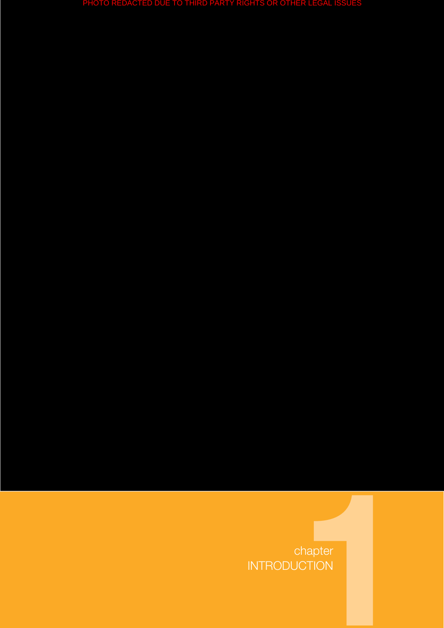PHOTO REDACTED DUE TO THIRD PARTY RIGHTS OR OTHER LEGAL ISSUES

chapter<br>INTRODUCTION **Chapter**<br>INTRODUCTION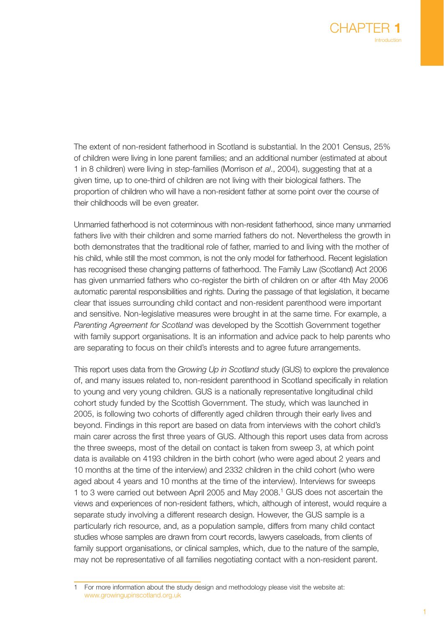

The extent of non-resident fatherhood in Scotland is substantial. In the 2001 Census, 25% of children were living in lone parent families; and an additional number (estimated at about 1 in 8 children) were living in step-families (Morrison *et al*., 2004), suggesting that at a given time, up to one-third of children are not living with their biological fathers. The proportion of children who will have a non-resident father at some point over the course of their childhoods will be even greater.

Unmarried fatherhood is not coterminous with non-resident fatherhood, since many unmarried fathers live with their children and some married fathers do not. Nevertheless the growth in both demonstrates that the traditional role of father, married to and living with the mother of his child, while still the most common, is not the only model for fatherhood. Recent legislation has recognised these changing patterns of fatherhood. The Family Law (Scotland) Act 2006 has given unmarried fathers who co-register the birth of children on or after 4th May 2006 automatic parental responsibilities and rights. During the passage of that legislation, it became clear that issues surrounding child contact and non-resident parenthood were important and sensitive. Non-legislative measures were brought in at the same time. For example, a *Parenting Agreement for Scotland* was developed by the Scottish Government together with family support organisations. It is an information and advice pack to help parents who are separating to focus on their child's interests and to agree future arrangements.

This report uses data from the *Growing Up in Scotland* study (GUS) to explore the prevalence of, and many issues related to, non-resident parenthood in Scotland specifically in relation to young and very young children. GUS is a nationally representative longitudinal child cohort study funded by the Scottish Government. The study, which was launched in 2005, is following two cohorts of differently aged children through their early lives and beyond. Findings in this report are based on data from interviews with the cohort child's main carer across the first three years of GUS. Although this report uses data from across the three sweeps, most of the detail on contact is taken from sweep 3, at which point data is available on 4193 children in the birth cohort (who were aged about 2 years and 10 months at the time of the interview) and 2332 children in the child cohort (who were aged about 4 years and 10 months at the time of the interview). Interviews for sweeps 1 to 3 were carried out between April 2005 and May 2008.1 GUS does not ascertain the views and experiences of non-resident fathers, which, although of interest, would require a separate study involving a different research design. However, the GUS sample is a particularly rich resource, and, as a population sample, differs from many child contact studies whose samples are drawn from court records, lawyers caseloads, from clients of family support organisations, or clinical samples, which, due to the nature of the sample, may not be representative of all families negotiating contact with a non-resident parent.

<sup>1</sup> For more information about the study design and methodology please visit the website at: www.growingupinscotland.org.uk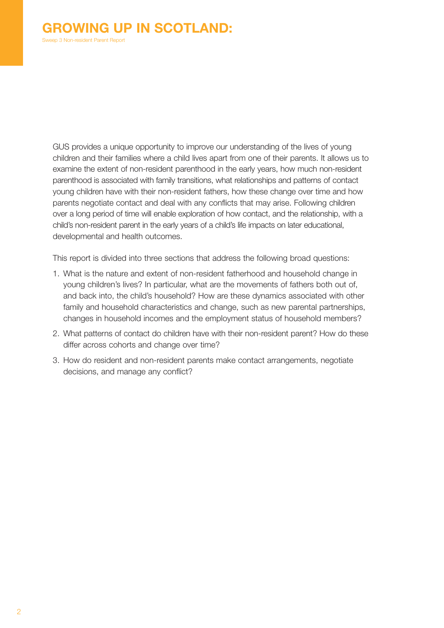Sweep 3 Non-resident Parent Report

GUS provides a unique opportunity to improve our understanding of the lives of young children and their families where a child lives apart from one of their parents. It allows us to examine the extent of non-resident parenthood in the early years, how much non-resident parenthood is associated with family transitions, what relationships and patterns of contact young children have with their non-resident fathers, how these change over time and how parents negotiate contact and deal with any conflicts that may arise. Following children over a long period of time will enable exploration of how contact, and the relationship, with a child's non-resident parent in the early years of a child's life impacts on later educational, developmental and health outcomes.

This report is divided into three sections that address the following broad questions:

- 1. What is the nature and extent of non-resident fatherhood and household change in young children's lives? In particular, what are the movements of fathers both out of, and back into, the child's household? How are these dynamics associated with other family and household characteristics and change, such as new parental partnerships, changes in household incomes and the employment status of household members?
- 2. What patterns of contact do children have with their non-resident parent? How do these differ across cohorts and change over time?
- 3. How do resident and non-resident parents make contact arrangements, negotiate decisions, and manage any conflict?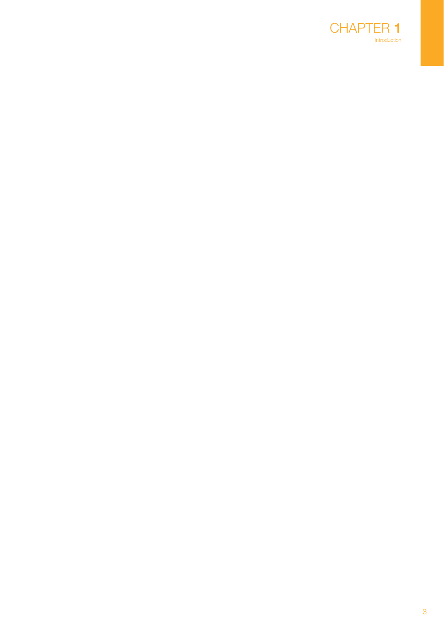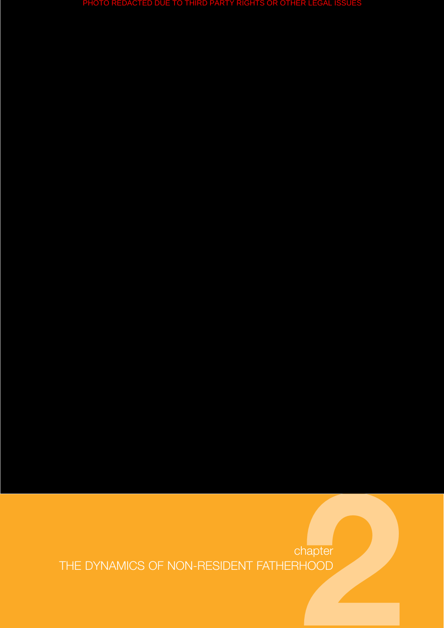PHOTO REDACTED DUE TO THIRD PARTY RIGHTS OR OTHER LEGAL ISSUES

chapter THE DYNAMICS OF NON-RESIDENT FATHERHOOD **2**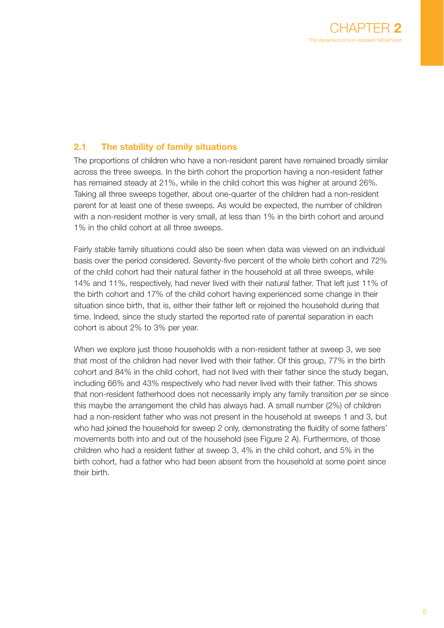#### **2.1 The stability of family situations**

The proportions of children who have a non-resident parent have remained broadly similar across the three sweeps. In the birth cohort the proportion having a non-resident father has remained steady at 21%, while in the child cohort this was higher at around 26%. Taking all three sweeps together, about one-quarter of the children had a non-resident parent for at least one of these sweeps. As would be expected, the number of children with a non-resident mother is very small, at less than 1% in the birth cohort and around 1% in the child cohort at all three sweeps.

Fairly stable family situations could also be seen when data was viewed on an individual basis over the period considered. Seventy-five percent of the whole birth cohort and 72% of the child cohort had their natural father in the household at all three sweeps, while 14% and 11%, respectively, had never lived with their natural father. That left just 11% of the birth cohort and 17% of the child cohort having experienced some change in their situation since birth, that is, either their father left or rejoined the household during that time. Indeed, since the study started the reported rate of parental separation in each cohort is about 2% to 3% per year.

When we explore just those households with a non-resident father at sweep 3, we see that most of the children had never lived with their father. Of this group, 77% in the birth cohort and 84% in the child cohort, had not lived with their father since the study began, including 66% and 43% respectively who had never lived with their father. This shows that non-resident fatherhood does not necessarily imply any family transition *per se* since this maybe the arrangement the child has always had. A small number (2%) of children had a non-resident father who was not present in the household at sweeps 1 and 3, but who had joined the household for sweep 2 only, demonstrating the fluidity of some fathers' movements both into and out of the household (see Figure 2 A). Furthermore, of those children who had a resident father at sweep 3, 4% in the child cohort, and 5% in the birth cohort, had a father who had been absent from the household at some point since their birth.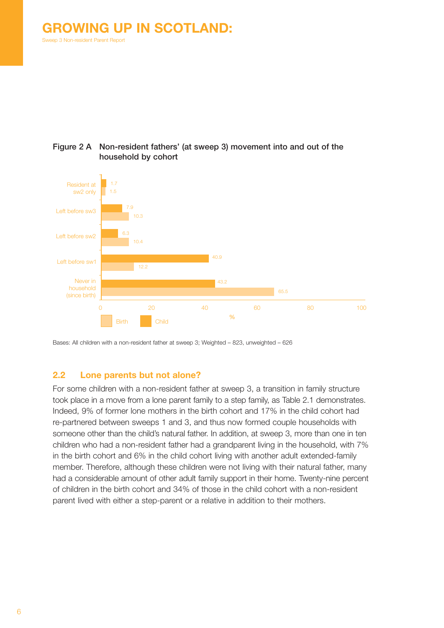



Bases: All children with a non-resident father at sweep 3; Weighted – 823, unweighted – 626

#### **2.2 Lone parents but not alone?**

For some children with a non-resident father at sweep 3, a transition in family structure took place in a move from a lone parent family to a step family, as Table 2.1 demonstrates. Indeed, 9% of former lone mothers in the birth cohort and 17% in the child cohort had re-partnered between sweeps 1 and 3, and thus now formed couple households with someone other than the child's natural father. In addition, at sweep 3, more than one in ten children who had a non-resident father had a grandparent living in the household, with 7% in the birth cohort and 6% in the child cohort living with another adult extended-family member. Therefore, although these children were not living with their natural father, many had a considerable amount of other adult family support in their home. Twenty-nine percent of children in the birth cohort and 34% of those in the child cohort with a non-resident parent lived with either a step-parent or a relative in addition to their mothers.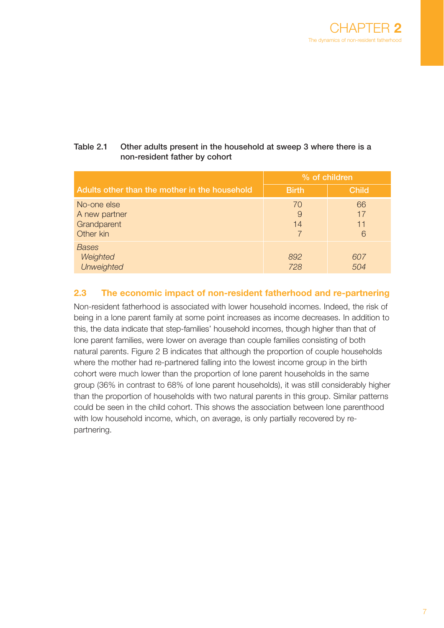

#### **Table 2.1 Other adults present in the household at sweep 3 where there is a non-resident father by cohort**

|                                                          | % of children |                     |
|----------------------------------------------------------|---------------|---------------------|
| Adults other than the mother in the household            | <b>Birth</b>  | <b>Child</b>        |
| No-one else<br>A new partner<br>Grandparent<br>Other kin | 70<br>9<br>14 | 66<br>17<br>11<br>6 |
| <b>Bases</b><br>Weighted<br>Unweighted                   | 892<br>728    | 607<br>504          |

#### **2.3 The economic impact of non-resident fatherhood and re-partnering**

Non-resident fatherhood is associated with lower household incomes. Indeed, the risk of being in a lone parent family at some point increases as income decreases. In addition to this, the data indicate that step-families' household incomes, though higher than that of lone parent families, were lower on average than couple families consisting of both natural parents. Figure 2 B indicates that although the proportion of couple households where the mother had re-partnered falling into the lowest income group in the birth cohort were much lower than the proportion of lone parent households in the same group (36% in contrast to 68% of lone parent households), it was still considerably higher than the proportion of households with two natural parents in this group. Similar patterns could be seen in the child cohort. This shows the association between lone parenthood with low household income, which, on average, is only partially recovered by repartnering.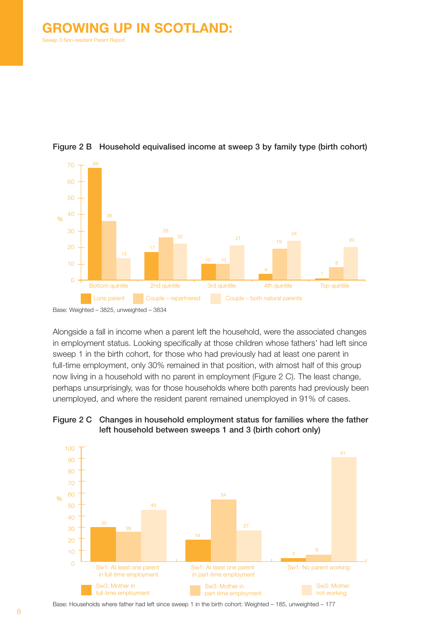

**Figure 2 B Household equivalised income at sweep 3 by family type (birth cohort)**

Alongside a fall in income when a parent left the household, were the associated changes in employment status. Looking specifically at those children whose fathers' had left since sweep 1 in the birth cohort, for those who had previously had at least one parent in full-time employment, only 30% remained in that position, with almost half of this group now living in a household with no parent in employment (Figure 2 C). The least change, perhaps unsurprisingly, was for those households where both parents had previously been

unemployed, and where the resident parent remained unemployed in 91% of cases.







Base: Households where father had left since sweep 1 in the birth cohort: Weighted – 185, unweighted – 177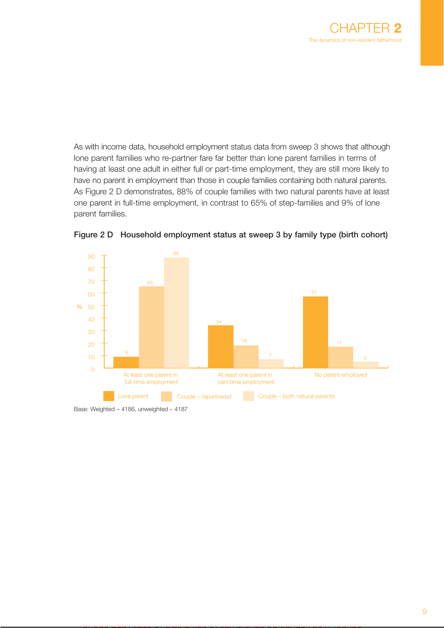

As with income data, household employment status data from sweep 3 shows that although lone parent families who re-partner fare far better than lone parent families in terms of having at least one adult in either full or part-time employment, they are still more likely to have no parent in employment than those in couple families containing both natural parents. As Figure 2 D demonstrates, 88% of couple families with two natural parents have at least one parent in full-time employment, in contrast to 65% of step-families and 9% of lone parent families.



PHOTO REDACTED DUE TO THIRD PARTY RIGHTS OR OTHER LEGAL ISSUES

**Figure 2 D Household employment status at sweep 3 by family type (birth cohort)**

Base: Weighted – 4186, unweighted – 4187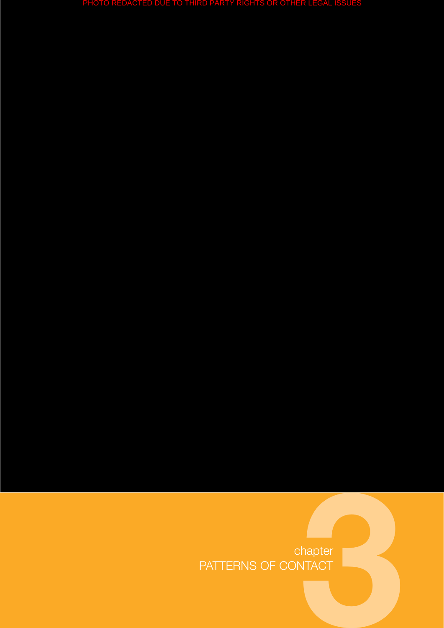PHOTO REDACTED DUE TO THIRD PARTY RIGHTS OR OTHER LEGAL ISSUES

chapter PATTERNS OF CONTACT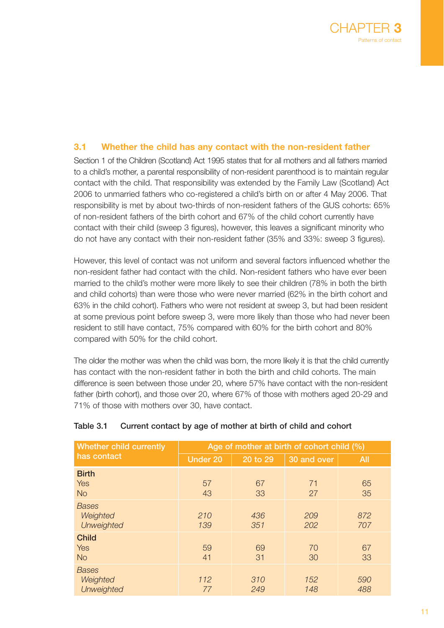

#### **3.1 Whether the child has any contact with the non-resident father**

Section 1 of the Children (Scotland) Act 1995 states that for all mothers and all fathers married to a child's mother, a parental responsibility of non-resident parenthood is to maintain regular contact with the child. That responsibility was extended by the Family Law (Scotland) Act 2006 to unmarried fathers who co-registered a child's birth on or after 4 May 2006. That responsibility is met by about two-thirds of non-resident fathers of the GUS cohorts: 65% of non-resident fathers of the birth cohort and 67% of the child cohort currently have contact with their child (sweep 3 figures), however, this leaves a significant minority who do not have any contact with their non-resident father (35% and 33%: sweep 3 figures).

However, this level of contact was not uniform and several factors influenced whether the non-resident father had contact with the child. Non-resident fathers who have ever been married to the child's mother were more likely to see their children (78% in both the birth and child cohorts) than were those who were never married (62% in the birth cohort and 63% in the child cohort). Fathers who were not resident at sweep 3, but had been resident at some previous point before sweep 3, were more likely than those who had never been resident to still have contact, 75% compared with 60% for the birth cohort and 80% compared with 50% for the child cohort.

The older the mother was when the child was born, the more likely it is that the child currently has contact with the non-resident father in both the birth and child cohorts. The main difference is seen between those under 20, where 57% have contact with the non-resident father (birth cohort), and those over 20, where 67% of those with mothers aged 20-29 and 71% of those with mothers over 30, have contact.

| Whether child currently                | Age of mother at birth of cohort child (%) |            |             |            |  |  |
|----------------------------------------|--------------------------------------------|------------|-------------|------------|--|--|
| has contact                            | <b>Under 20</b>                            | 20 to 29   | 30 and over | <b>All</b> |  |  |
| <b>Birth</b><br>Yes<br><b>No</b>       | 57<br>43                                   | 67<br>33   | 71<br>27    | 65<br>35   |  |  |
| <b>Bases</b><br>Weighted<br>Unweighted | 210<br>139                                 | 436<br>351 | 209<br>202  | 872<br>707 |  |  |
| <b>Child</b><br>Yes<br><b>No</b>       | 59<br>41                                   | 69<br>31   | 70<br>30    | 67<br>33   |  |  |
| <b>Bases</b><br>Weighted<br>Unweighted | 112<br>77                                  | 310<br>249 | 152<br>148  | 590<br>488 |  |  |

#### **Table 3.1 Current contact by age of mother at birth of child and cohort**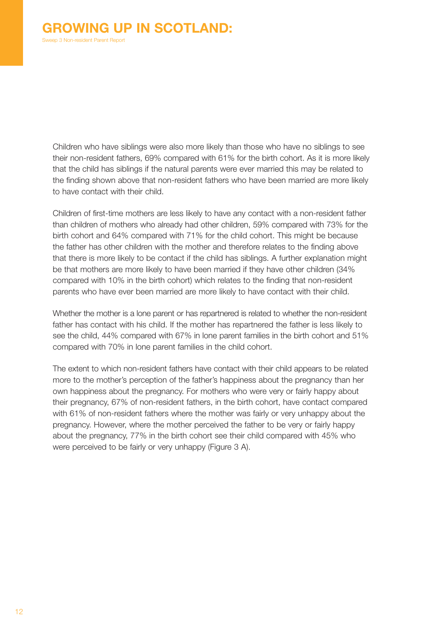Children who have siblings were also more likely than those who have no siblings to see their non-resident fathers, 69% compared with 61% for the birth cohort. As it is more likely that the child has siblings if the natural parents were ever married this may be related to the finding shown above that non-resident fathers who have been married are more likely to have contact with their child.

Children of first-time mothers are less likely to have any contact with a non-resident father than children of mothers who already had other children, 59% compared with 73% for the birth cohort and 64% compared with 71% for the child cohort. This might be because the father has other children with the mother and therefore relates to the finding above that there is more likely to be contact if the child has siblings. A further explanation might be that mothers are more likely to have been married if they have other children (34% compared with 10% in the birth cohort) which relates to the finding that non-resident parents who have ever been married are more likely to have contact with their child.

Whether the mother is a lone parent or has repartnered is related to whether the non-resident father has contact with his child. If the mother has repartnered the father is less likely to see the child, 44% compared with 67% in lone parent families in the birth cohort and 51% compared with 70% in lone parent families in the child cohort.

The extent to which non-resident fathers have contact with their child appears to be related more to the mother's perception of the father's happiness about the pregnancy than her own happiness about the pregnancy. For mothers who were very or fairly happy about their pregnancy, 67% of non-resident fathers, in the birth cohort, have contact compared with 61% of non-resident fathers where the mother was fairly or very unhappy about the pregnancy. However, where the mother perceived the father to be very or fairly happy about the pregnancy, 77% in the birth cohort see their child compared with 45% who were perceived to be fairly or very unhappy (Figure 3 A).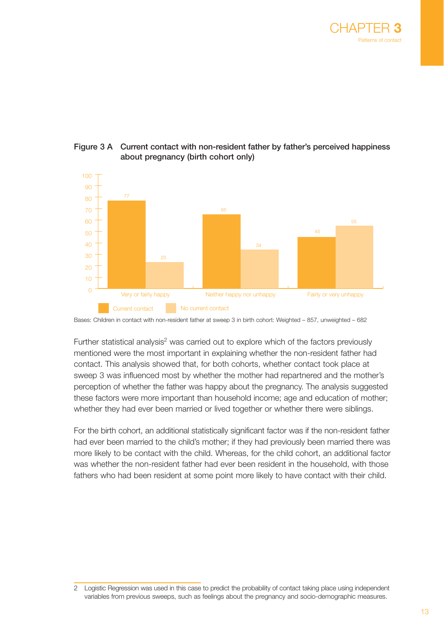





Bases: Children in contact with non-resident father at sweep 3 in birth cohort: Weighted – 857, unweighted – 682

Further statistical analysis<sup>2</sup> was carried out to explore which of the factors previously mentioned were the most important in explaining whether the non-resident father had contact. This analysis showed that, for both cohorts, whether contact took place at sweep 3 was influenced most by whether the mother had repartnered and the mother's perception of whether the father was happy about the pregnancy. The analysis suggested these factors were more important than household income; age and education of mother; whether they had ever been married or lived together or whether there were siblings.

For the birth cohort, an additional statistically significant factor was if the non-resident father had ever been married to the child's mother; if they had previously been married there was more likely to be contact with the child. Whereas, for the child cohort, an additional factor was whether the non-resident father had ever been resident in the household, with those fathers who had been resident at some point more likely to have contact with their child.

<sup>2</sup> Logistic Regression was used in this case to predict the probability of contact taking place using independent variables from previous sweeps, such as feelings about the pregnancy and socio-demographic measures.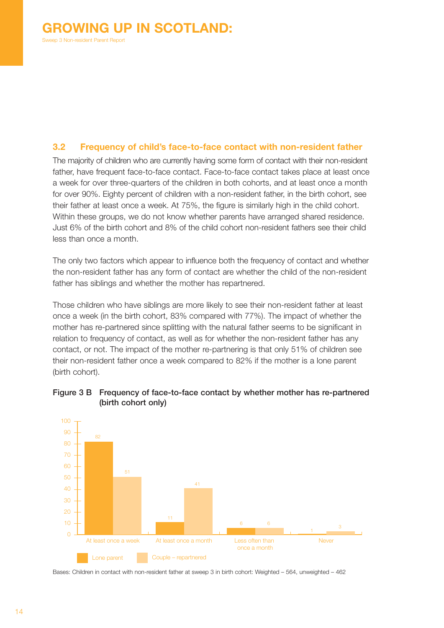#### **3.2 Frequency of child's face-to-face contact with non-resident father**

The majority of children who are currently having some form of contact with their non-resident father, have frequent face-to-face contact. Face-to-face contact takes place at least once a week for over three-quarters of the children in both cohorts, and at least once a month for over 90%. Eighty percent of children with a non-resident father, in the birth cohort, see their father at least once a week. At 75%, the figure is similarly high in the child cohort. Within these groups, we do not know whether parents have arranged shared residence. Just 6% of the birth cohort and 8% of the child cohort non-resident fathers see their child less than once a month.

The only two factors which appear to influence both the frequency of contact and whether the non-resident father has any form of contact are whether the child of the non-resident father has siblings and whether the mother has repartnered.

Those children who have siblings are more likely to see their non-resident father at least once a week (in the birth cohort, 83% compared with 77%). The impact of whether the mother has re-partnered since splitting with the natural father seems to be significant in relation to frequency of contact, as well as for whether the non-resident father has any contact, or not. The impact of the mother re-partnering is that only 51% of children see their non-resident father once a week compared to 82% if the mother is a lone parent (birth cohort).



#### **Figure 3 B Frequency of face-to-face contact by whether mother has re-partnered (birth cohort only)**

Bases: Children in contact with non-resident father at sweep 3 in birth cohort: Weighted – 564, unweighted – 462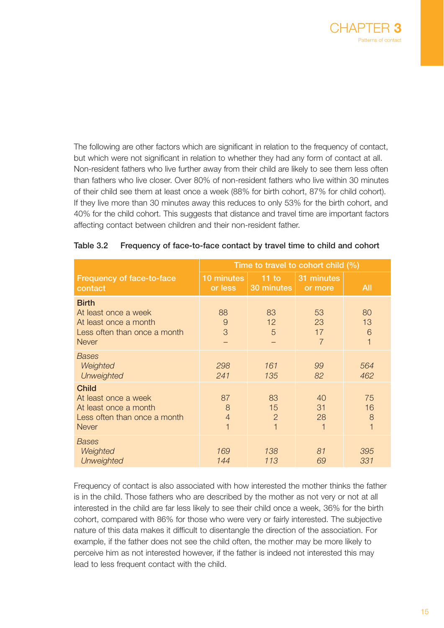

The following are other factors which are significant in relation to the frequency of contact, but which were not significant in relation to whether they had any form of contact at all. Non-resident fathers who live further away from their child are likely to see them less often than fathers who live closer. Over 80% of non-resident fathers who live within 30 minutes of their child see them at least once a week (88% for birth cohort, 87% for child cohort). If they live more than 30 minutes away this reduces to only 53% for the birth cohort, and 40% for the child cohort. This suggests that distance and travel time are important factors affecting contact between children and their non-resident father.

|                                                                                                               | Time to travel to cohort child (%)        |                            |                                  |                    |
|---------------------------------------------------------------------------------------------------------------|-------------------------------------------|----------------------------|----------------------------------|--------------------|
| <b>Frequency of face-to-face</b><br>contact                                                                   | 10 minutes<br>or less                     | 11 to<br>30 minutes        | 31 minutes<br>or more            | <b>All</b>         |
| <b>Birth</b><br>At least once a week<br>At least once a month<br>Less often than once a month<br><b>Never</b> | 88<br>$\Theta$<br>3                       | 83<br>12<br>5              | 53<br>23<br>17<br>$\overline{7}$ | 80<br>13<br>6<br>1 |
| <b>Bases</b><br>Weighted<br>Unweighted                                                                        | 298<br>241                                | 161<br>135                 | 99<br>82                         | 564<br>462         |
| <b>Child</b><br>At least once a week<br>At least once a month<br>Less often than once a month<br><b>Never</b> | 87<br>8<br>$\overline{4}$<br>$\mathbf{1}$ | 83<br>15<br>$\overline{2}$ | 40<br>31<br>28                   | 75<br>16<br>8<br>1 |
| <b>Bases</b><br>Weighted<br>Unweighted                                                                        | 169<br>144                                | 138<br>113                 | 81<br>69                         | 395<br>331         |

#### **Table 3.2 Frequency of face-to-face contact by travel time to child and cohort**

Frequency of contact is also associated with how interested the mother thinks the father is in the child. Those fathers who are described by the mother as not very or not at all interested in the child are far less likely to see their child once a week, 36% for the birth cohort, compared with 86% for those who were very or fairly interested. The subjective nature of this data makes it difficult to disentangle the direction of the association. For example, if the father does not see the child often, the mother may be more likely to perceive him as not interested however, if the father is indeed not interested this may lead to less frequent contact with the child.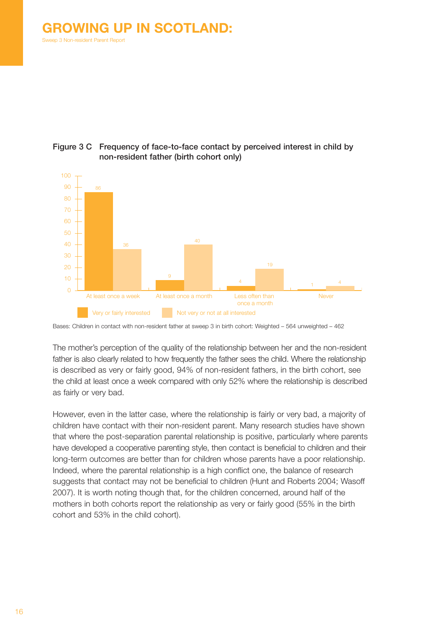



Bases: Children in contact with non-resident father at sweep 3 in birth cohort: Weighted – 564 unweighted – 462

The mother's perception of the quality of the relationship between her and the non-resident father is also clearly related to how frequently the father sees the child. Where the relationship is described as very or fairly good, 94% of non-resident fathers, in the birth cohort, see the child at least once a week compared with only 52% where the relationship is described as fairly or very bad.

However, even in the latter case, where the relationship is fairly or very bad, a majority of children have contact with their non-resident parent. Many research studies have shown that where the post-separation parental relationship is positive, particularly where parents have developed a cooperative parenting style, then contact is beneficial to children and their long-term outcomes are better than for children whose parents have a poor relationship. Indeed, where the parental relationship is a high conflict one, the balance of research suggests that contact may not be beneficial to children (Hunt and Roberts 2004; Wasoff 2007). It is worth noting though that, for the children concerned, around half of the mothers in both cohorts report the relationship as very or fairly good (55% in the birth cohort and 53% in the child cohort).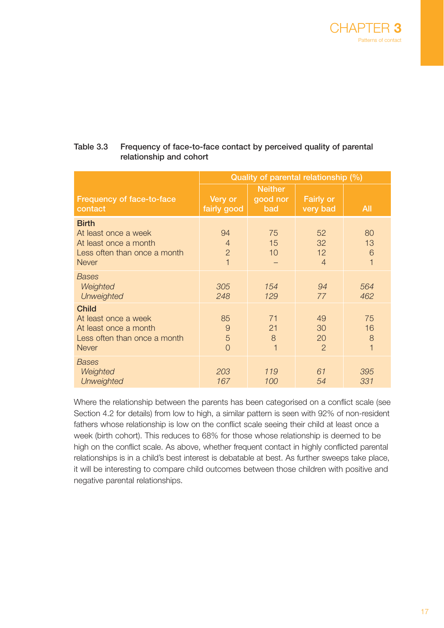

#### **Table 3.3 Frequency of face-to-face contact by perceived quality of parental relationship and cohort**

|                                                                                                               | Quality of parental relationship (%)                   |                                   |                                  |                    |
|---------------------------------------------------------------------------------------------------------------|--------------------------------------------------------|-----------------------------------|----------------------------------|--------------------|
| <b>Frequency of face-to-face</b><br>contact                                                                   | Very or<br>fairly good                                 | <b>Neither</b><br>good nor<br>bad | <b>Fairly or</b><br>very bad     | <b>All</b>         |
| <b>Birth</b><br>At least once a week<br>At least once a month<br>Less often than once a month<br><b>Never</b> | 94<br>$\overline{4}$<br>$\overline{2}$<br>$\mathbf{1}$ | 75<br>15<br>10                    | 52<br>32<br>12<br>$\overline{4}$ | 80<br>13<br>6      |
| <b>Bases</b><br>Weighted<br><b>Unweighted</b>                                                                 | 305<br>248                                             | 154<br>129                        | 94<br>77                         | 564<br>462         |
| <b>Child</b><br>At least once a week<br>At least once a month<br>Less often than once a month<br><b>Never</b> | 85<br>9<br>5<br>$\overline{0}$                         | 71<br>21<br>8                     | 49<br>30<br>20<br>$\overline{2}$ | 75<br>16<br>8<br>1 |
| <b>Bases</b><br>Weighted<br><b>Unweighted</b>                                                                 | 203<br>167                                             | 119<br>100                        | 61<br>54                         | 395<br>331         |

Where the relationship between the parents has been categorised on a conflict scale (see Section 4.2 for details) from low to high, a similar pattern is seen with 92% of non-resident fathers whose relationship is low on the conflict scale seeing their child at least once a week (birth cohort). This reduces to 68% for those whose relationship is deemed to be high on the conflict scale. As above, whether frequent contact in highly conflicted parental relationships is in a child's best interest is debatable at best. As further sweeps take place, it will be interesting to compare child outcomes between those children with positive and negative parental relationships.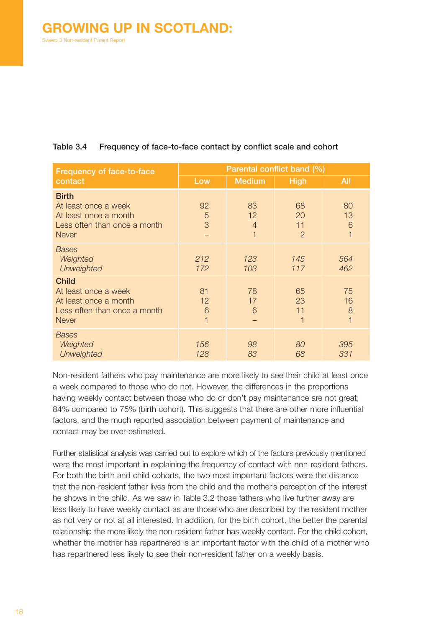| Frequency of face-to-face                                                                                     | Parental conflict band (%)      |                                 |                                  |                                 |
|---------------------------------------------------------------------------------------------------------------|---------------------------------|---------------------------------|----------------------------------|---------------------------------|
| contact                                                                                                       | Low                             | <b>Medium</b>                   | <b>High</b>                      | <b>All</b>                      |
| <b>Birth</b><br>At least once a week<br>At least once a month<br>Less often than once a month<br><b>Never</b> | 92<br>5<br>3                    | 83<br>12<br>$\overline{4}$<br>1 | 68<br>20<br>11<br>$\overline{2}$ | 80<br>13<br>6<br>$\overline{1}$ |
| <b>Bases</b><br>Weighted<br>Unweighted                                                                        | 212<br>172                      | 123<br>103                      | 145<br>117                       | 564<br>462                      |
| <b>Child</b><br>At least once a week<br>At least once a month<br>Less often than once a month<br><b>Never</b> | 81<br>12<br>6<br>$\overline{1}$ | 78<br>17<br>6                   | 65<br>23<br>11                   | 75<br>16<br>8<br>$\overline{1}$ |
| <b>Bases</b><br>Weighted<br>Unweighted                                                                        | 156<br>128                      | 98<br>83                        | 80<br>68                         | 395<br>331                      |

Non-resident fathers who pay maintenance are more likely to see their child at least once a week compared to those who do not. However, the differences in the proportions having weekly contact between those who do or don't pay maintenance are not great; 84% compared to 75% (birth cohort). This suggests that there are other more influential factors, and the much reported association between payment of maintenance and contact may be over-estimated.

Further statistical analysis was carried out to explore which of the factors previously mentioned were the most important in explaining the frequency of contact with non-resident fathers. For both the birth and child cohorts, the two most important factors were the distance that the non-resident father lives from the child and the mother's perception of the interest he shows in the child. As we saw in Table 3.2 those fathers who live further away are less likely to have weekly contact as are those who are described by the resident mother as not very or not at all interested. In addition, for the birth cohort, the better the parental relationship the more likely the non-resident father has weekly contact. For the child cohort, whether the mother has repartnered is an important factor with the child of a mother who has repartnered less likely to see their non-resident father on a weekly basis.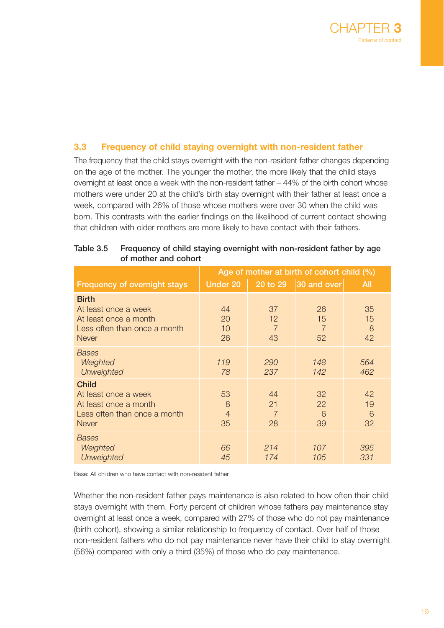

#### **3.3 Frequency of child staying overnight with non-resident father**

The frequency that the child stays overnight with the non-resident father changes depending on the age of the mother. The younger the mother, the more likely that the child stays overnight at least once a week with the non-resident father – 44% of the birth cohort whose mothers were under 20 at the child's birth stay overnight with their father at least once a week, compared with 26% of those whose mothers were over 30 when the child was born. This contrasts with the earlier findings on the likelihood of current contact showing that children with older mothers are more likely to have contact with their fathers.

|                                                                                                               | Age of mother at birth of cohort child (%) |                                  |                                  |                     |
|---------------------------------------------------------------------------------------------------------------|--------------------------------------------|----------------------------------|----------------------------------|---------------------|
| <b>Frequency of overnight stays</b>                                                                           | <b>Under 20</b>                            | 20 to 29                         | 30 and over                      | <b>All</b>          |
| <b>Birth</b><br>At least once a week<br>At least once a month<br>Less often than once a month<br><b>Never</b> | 44<br>20<br>10<br>26                       | 37<br>12<br>$\overline{7}$<br>43 | 26<br>15<br>$\overline{7}$<br>52 | 35<br>15<br>8<br>42 |
| <b>Bases</b><br>Weighted<br>Unweighted                                                                        | 119<br>78                                  | 290<br>237                       | 148<br>142                       | 564<br>462          |
| <b>Child</b><br>At least once a week<br>At least once a month<br>Less often than once a month<br><b>Never</b> | 53<br>8<br>$\overline{4}$<br>35            | 44<br>21<br>$\overline{7}$<br>28 | 32<br>22<br>6<br>39              | 42<br>19<br>6<br>32 |
| <b>Bases</b><br>Weighted<br>Unweighted                                                                        | 66<br>45                                   | 214<br>174                       | 107<br>105                       | 395<br>331          |

#### **Table 3.5 Frequency of child staying overnight with non-resident father by age of mother and cohort**

Base: All children who have contact with non-resident father

Whether the non-resident father pays maintenance is also related to how often their child stays overnight with them. Forty percent of children whose fathers pay maintenance stay overnight at least once a week, compared with 27% of those who do not pay maintenance (birth cohort), showing a similar relationship to frequency of contact. Over half of those non-resident fathers who do not pay maintenance never have their child to stay overnight (56%) compared with only a third (35%) of those who do pay maintenance.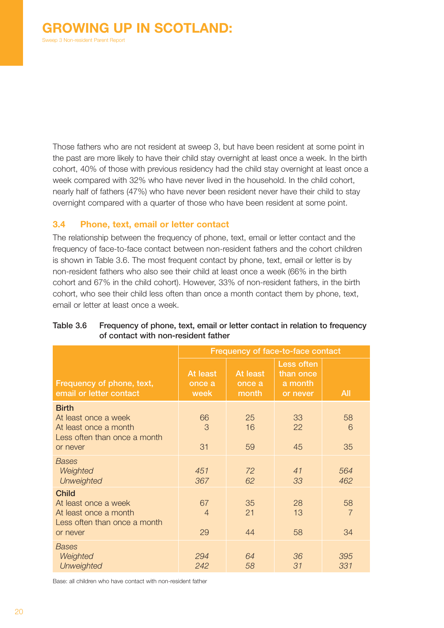Those fathers who are not resident at sweep 3, but have been resident at some point in the past are more likely to have their child stay overnight at least once a week. In the birth cohort, 40% of those with previous residency had the child stay overnight at least once a week compared with 32% who have never lived in the household. In the child cohort, nearly half of fathers (47%) who have never been resident never have their child to stay overnight compared with a quarter of those who have been resident at some point.

#### **3.4 Phone, text, email or letter contact**

The relationship between the frequency of phone, text, email or letter contact and the frequency of face-to-face contact between non-resident fathers and the cohort children is shown in Table 3.6. The most frequent contact by phone, text, email or letter is by non-resident fathers who also see their child at least once a week (66% in the birth cohort and 67% in the child cohort). However, 33% of non-resident fathers, in the birth cohort, who see their child less often than once a month contact them by phone, text, email or letter at least once a week.

|                                                                                                           | Frequency of face-to-face contact |                             |                                                |                            |
|-----------------------------------------------------------------------------------------------------------|-----------------------------------|-----------------------------|------------------------------------------------|----------------------------|
| Frequency of phone, text,<br>email or letter contact                                                      | At least<br>once a<br>week        | At least<br>once a<br>month | Less often<br>than once<br>a month<br>or never | All                        |
| <b>Birth</b><br>At least once a week<br>At least once a month<br>Less often than once a month<br>or never | 66<br>3<br>31                     | 25<br>16<br>59              | 33<br>22<br>45                                 | 58<br>6<br>35              |
| <b>Bases</b><br>Weighted<br>Unweighted                                                                    | 451<br>367                        | 72<br>62                    | 41<br>33                                       | 564<br>462                 |
| <b>Child</b><br>At least once a week<br>At least once a month<br>Less often than once a month<br>or never | 67<br>$\overline{4}$<br>29        | 35<br>21<br>44              | 28<br>13<br>58                                 | 58<br>$\overline{7}$<br>34 |
| <b>Bases</b><br>Weighted<br>Unweighted                                                                    | 294<br>242                        | 64<br>58                    | 36<br>31                                       | 395<br>331                 |

#### **Table 3.6 Frequency of phone, text, email or letter contact in relation to frequency of contact with non-resident father**

Base: all children who have contact with non-resident father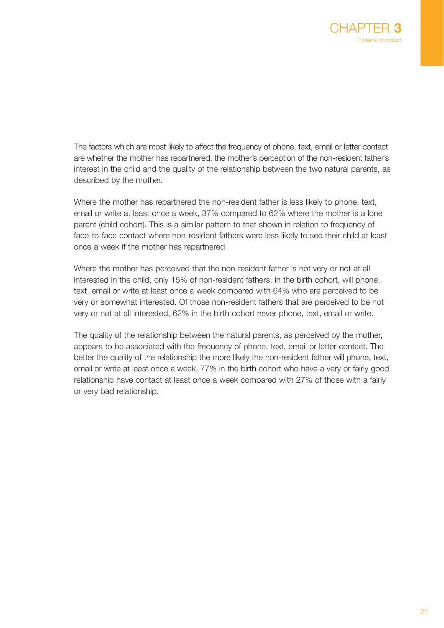

The factors which are most likely to affect the frequency of phone, text, email or letter contact are whether the mother has repartnered, the mother's perception of the non-resident father's interest in the child and the quality of the relationship between the two natural parents, as described by the mother.

Where the mother has repartnered the non-resident father is less likely to phone, text, email or write at least once a week, 37% compared to 62% where the mother is a lone parent (child cohort). This is a similar pattern to that shown in relation to frequency of face-to-face contact where non-resident fathers were less likely to see their child at least once a week if the mother has repartnered.

Where the mother has perceived that the non-resident father is not very or not at all interested in the child, only 15% of non-resident fathers, in the birth cohort, will phone, text, email or write at least once a week compared with 64% who are perceived to be very or somewhat interested. Of those non-resident fathers that are perceived to be not very or not at all interested, 62% in the birth cohort never phone, text, email or write.

The quality of the relationship between the natural parents, as perceived by the mother, appears to be associated with the frequency of phone, text, email or letter contact. The better the quality of the relationship the more likely the non-resident father will phone, text, email or write at least once a week, 77% in the birth cohort who have a very or fairly good relationship have contact at least once a week compared with 27% of those with a fairly or very bad relationship.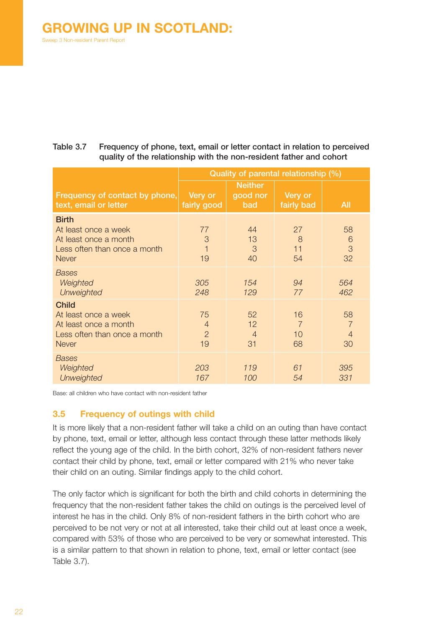#### **Table 3.7 Frequency of phone, text, email or letter contact in relation to perceived quality of the relationship with the non-resident father and cohort**

|                                                                                                               | Quality of parental relationship (%)         |                                   |                                  |                                              |
|---------------------------------------------------------------------------------------------------------------|----------------------------------------------|-----------------------------------|----------------------------------|----------------------------------------------|
| Frequency of contact by phone,<br>text, email or letter                                                       | Very or<br>fairly good                       | <b>Neither</b><br>good nor<br>bad | Very or<br>fairly bad            | <b>All</b>                                   |
| <b>Birth</b><br>At least once a week<br>At least once a month<br>Less often than once a month<br><b>Never</b> | 77<br>3<br>$\overline{1}$<br>19              | 44<br>13<br>3<br>40               | 27<br>8<br>11<br>54              | 58<br>6<br>3<br>32                           |
| <b>Bases</b><br>Weighted<br>Unweighted                                                                        | 305<br>248                                   | 154<br>129                        | 94<br>77                         | 564<br>462                                   |
| <b>Child</b><br>At least once a week<br>At least once a month<br>Less often than once a month<br><b>Never</b> | 75<br>$\overline{4}$<br>$\overline{2}$<br>19 | 52<br>12<br>$\overline{4}$<br>31  | 16<br>$\overline{7}$<br>10<br>68 | 58<br>$\overline{7}$<br>$\overline{4}$<br>30 |
| <b>Bases</b><br>Weighted<br>Unweighted                                                                        | 203<br>167                                   | 119<br>100                        | 61<br>54                         | 395<br>331                                   |

Base: all children who have contact with non-resident father

#### **3.5 Frequency of outings with child**

It is more likely that a non-resident father will take a child on an outing than have contact by phone, text, email or letter, although less contact through these latter methods likely reflect the young age of the child. In the birth cohort, 32% of non-resident fathers never contact their child by phone, text, email or letter compared with 21% who never take their child on an outing. Similar findings apply to the child cohort.

The only factor which is significant for both the birth and child cohorts in determining the frequency that the non-resident father takes the child on outings is the perceived level of interest he has in the child. Only 8% of non-resident fathers in the birth cohort who are perceived to be not very or not at all interested, take their child out at least once a week, compared with 53% of those who are perceived to be very or somewhat interested. This is a similar pattern to that shown in relation to phone, text, email or letter contact (see Table 3.7).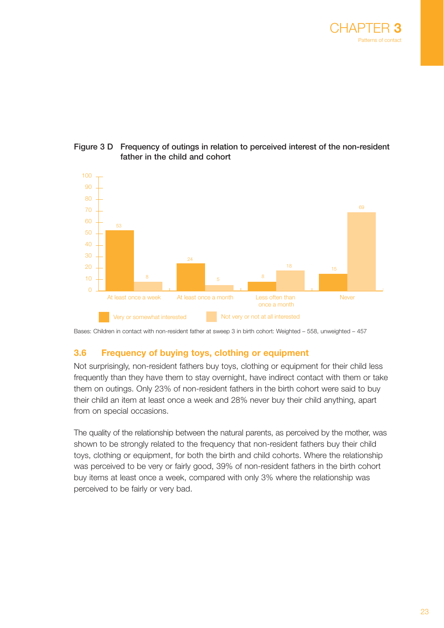





Bases: Children in contact with non-resident father at sweep 3 in birth cohort: Weighted – 558, unweighted – 457

#### **3.6 Frequency of buying toys, clothing or equipment**

Not surprisingly, non-resident fathers buy toys, clothing or equipment for their child less frequently than they have them to stay overnight, have indirect contact with them or take them on outings. Only 23% of non-resident fathers in the birth cohort were said to buy their child an item at least once a week and 28% never buy their child anything, apart from on special occasions.

The quality of the relationship between the natural parents, as perceived by the mother, was shown to be strongly related to the frequency that non-resident fathers buy their child toys, clothing or equipment, for both the birth and child cohorts. Where the relationship was perceived to be very or fairly good, 39% of non-resident fathers in the birth cohort buy items at least once a week, compared with only 3% where the relationship was perceived to be fairly or very bad.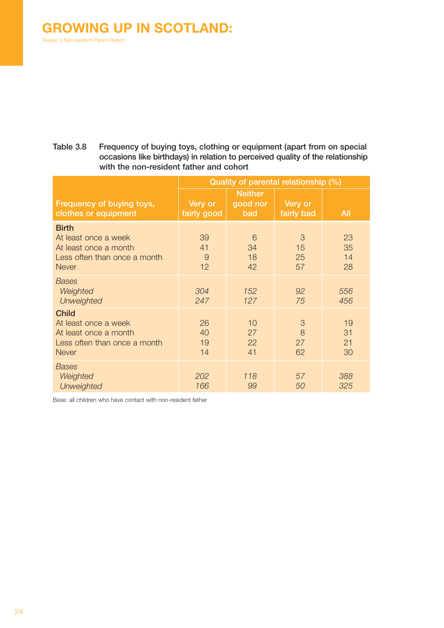**GROWING UP IN SCOTLAND:**

Sweep 3 Non-resident Parent Report

**Table 3.8 Frequency of buying toys, clothing or equipment (apart from on special occasions like birthdays) in relation to perceived quality of the relationship with the non-resident father and cohort**

|                                                                                                               | Quality of parental relationship (%) |                                   |                       |                      |
|---------------------------------------------------------------------------------------------------------------|--------------------------------------|-----------------------------------|-----------------------|----------------------|
| Frequency of buying toys,<br>clothes or equipment                                                             | Very or<br>fairly good               | <b>Neither</b><br>good nor<br>bad | Very or<br>fairly bad | All                  |
| <b>Birth</b><br>At least once a week<br>At least once a month<br>Less often than once a month<br><b>Never</b> | 39<br>41<br>9<br>12                  | 6<br>34<br>18<br>42               | 3<br>15<br>25<br>57   | 23<br>35<br>14<br>28 |
| <b>Bases</b><br>Weighted<br><b>Unweighted</b>                                                                 | 304<br>247                           | 152<br>127                        | 92<br>75              | 556<br>456           |
| <b>Child</b><br>At least once a week<br>At least once a month<br>Less often than once a month<br><b>Never</b> | 26<br>40<br>19<br>14                 | 10<br>27<br>22<br>41              | 3<br>8<br>27<br>62    | 19<br>31<br>21<br>30 |
| <b>Bases</b><br>Weighted<br>Unweighted                                                                        | 202<br>166                           | 118<br>99                         | 57<br>50              | 388<br>325           |

Base: all children who have contact with non-resident father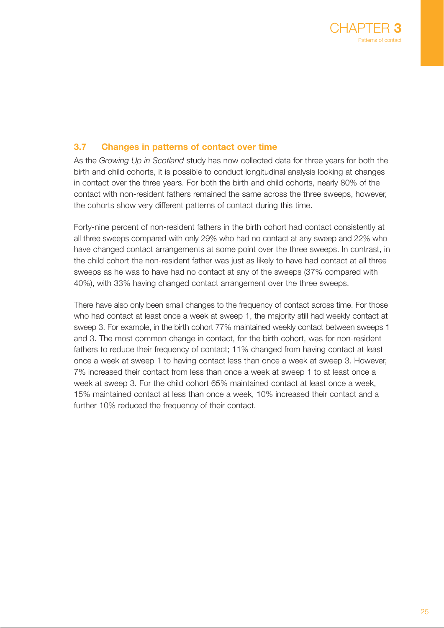

#### **3.7 Changes in patterns of contact over time**

As the *Growing Up in Scotland* study has now collected data for three years for both the birth and child cohorts, it is possible to conduct longitudinal analysis looking at changes in contact over the three years. For both the birth and child cohorts, nearly 80% of the contact with non-resident fathers remained the same across the three sweeps, however, the cohorts show very different patterns of contact during this time.

Forty-nine percent of non-resident fathers in the birth cohort had contact consistently at all three sweeps compared with only 29% who had no contact at any sweep and 22% who have changed contact arrangements at some point over the three sweeps. In contrast, in the child cohort the non-resident father was just as likely to have had contact at all three sweeps as he was to have had no contact at any of the sweeps (37% compared with 40%), with 33% having changed contact arrangement over the three sweeps.

There have also only been small changes to the frequency of contact across time. For those who had contact at least once a week at sweep 1, the majority still had weekly contact at sweep 3. For example, in the birth cohort 77% maintained weekly contact between sweeps 1 and 3. The most common change in contact, for the birth cohort, was for non-resident fathers to reduce their frequency of contact; 11% changed from having contact at least once a week at sweep 1 to having contact less than once a week at sweep 3. However, 7% increased their contact from less than once a week at sweep 1 to at least once a week at sweep 3. For the child cohort 65% maintained contact at least once a week, 15% maintained contact at less than once a week, 10% increased their contact and a further 10% reduced the frequency of their contact.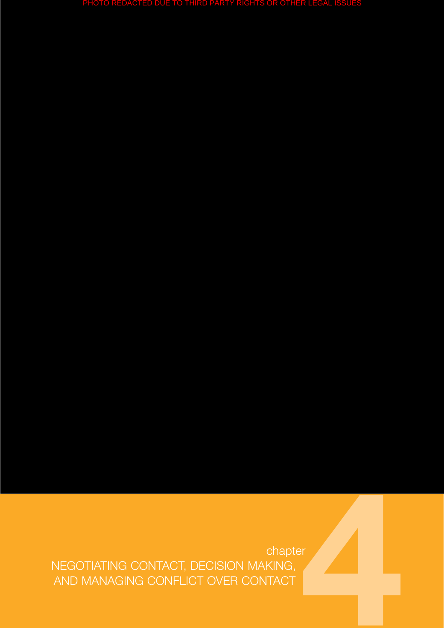PHOTO REDACTED DUE TO THIRD PARTY RIGHTS OR OTHER LEGAL ISSUES

chapter NEGOTIATING CONTACT, DECISION MAKING,<br>AND MANAGING CONFLICT OVER CONTACT REGOTIATING CONTACT, DECISION MAKING,<br>AND MANAGING CONFLICT OVER CONTACT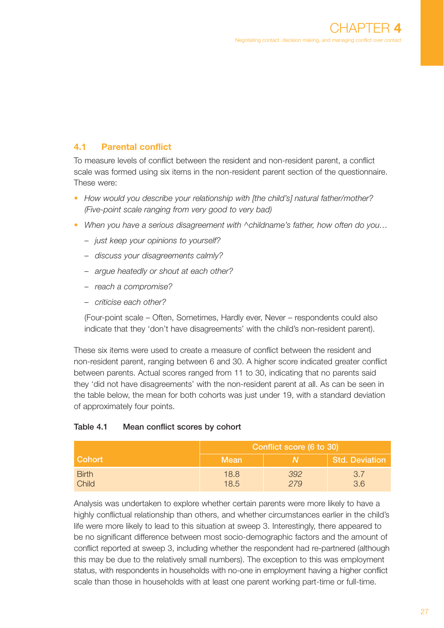#### **4.1 Parental conflict**

To measure levels of conflict between the resident and non-resident parent, a conflict scale was formed using six items in the non-resident parent section of the questionnaire. These were:

- *How would you describe your relationship with [the child's] natural father/mother? (Five-point scale ranging from very good to very bad)*
- *When you have a serious disagreement with ^childname's father, how often do you…*
	- *just keep your opinions to yourself?*
	- *discuss your disagreements calmly?*
	- *argue heatedly or shout at each other?*
	- *reach a compromise?*
	- *criticise each other?*

(Four-point scale – Often, Sometimes, Hardly ever, Never – respondents could also indicate that they 'don't have disagreements' with the child's non-resident parent).

These six items were used to create a measure of conflict between the resident and non-resident parent, ranging between 6 and 30. A higher score indicated greater conflict between parents. Actual scores ranged from 11 to 30, indicating that no parents said they 'did not have disagreements' with the non-resident parent at all. As can be seen in the table below, the mean for both cohorts was just under 19, with a standard deviation of approximately four points.

#### **Table 4.1 Mean conflict scores by cohort**

|              | Conflict score (6 to 30) |     |                       |  |  |
|--------------|--------------------------|-----|-----------------------|--|--|
| Cohort       | Mean                     |     | <b>Std. Deviation</b> |  |  |
| <b>Birth</b> | 18.8                     | 392 | 3.7                   |  |  |
| Child        | 18.5                     | 279 | 3.6                   |  |  |

Analysis was undertaken to explore whether certain parents were more likely to have a highly conflictual relationship than others, and whether circumstances earlier in the child's life were more likely to lead to this situation at sweep 3. Interestingly, there appeared to be no significant difference between most socio-demographic factors and the amount of conflict reported at sweep 3, including whether the respondent had re-partnered (although this may be due to the relatively small numbers). The exception to this was employment status, with respondents in households with no-one in employment having a higher conflict scale than those in households with at least one parent working part-time or full-time.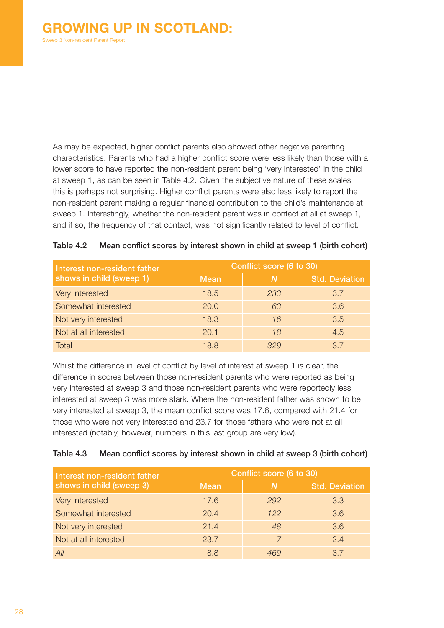As may be expected, higher conflict parents also showed other negative parenting characteristics. Parents who had a higher conflict score were less likely than those with a lower score to have reported the non-resident parent being 'very interested' in the child at sweep 1, as can be seen in Table 4.2. Given the subjective nature of these scales this is perhaps not surprising. Higher conflict parents were also less likely to report the non-resident parent making a regular financial contribution to the child's maintenance at

| Interest non-resident father | Conflict score (6 to 30) |     |                       |  |
|------------------------------|--------------------------|-----|-----------------------|--|
| shows in child (sweep 1)     | <b>Mean</b>              | N   | <b>Std. Deviation</b> |  |
| Very interested              | 18.5                     | 233 | 3.7                   |  |
| Somewhat interested          | 20.0                     | 63  | 3.6                   |  |
| Not very interested          | 18.3                     | 16  | 3.5                   |  |
| Not at all interested        | 20.1                     | 18  | 4.5                   |  |
| <b>Total</b>                 | 18.8                     | 329 | 3.7                   |  |

|  | Table 4.2 Mean conflict scores by interest shown in child at sweep 1 (birth cohort) |  |  |  |
|--|-------------------------------------------------------------------------------------|--|--|--|
|--|-------------------------------------------------------------------------------------|--|--|--|

sweep 1. Interestingly, whether the non-resident parent was in contact at all at sweep 1, and if so, the frequency of that contact, was not significantly related to level of conflict.

Whilst the difference in level of conflict by level of interest at sweep 1 is clear, the difference in scores between those non-resident parents who were reported as being very interested at sweep 3 and those non-resident parents who were reportedly less interested at sweep 3 was more stark. Where the non-resident father was shown to be very interested at sweep 3, the mean conflict score was 17.6, compared with 21.4 for those who were not very interested and 23.7 for those fathers who were not at all interested (notably, however, numbers in this last group are very low).

| Table 4.3 Mean conflict scores by interest shown in child at sweep 3 (birth cohort) |  |  |
|-------------------------------------------------------------------------------------|--|--|
|                                                                                     |  |  |

| Interest non-resident father<br>shows in child (sweep 3) | Conflict score (6 to 30) |     |                       |  |
|----------------------------------------------------------|--------------------------|-----|-----------------------|--|
|                                                          | Mean                     | Ν   | <b>Std. Deviation</b> |  |
| Very interested                                          | 17.6                     | 292 | 3.3                   |  |
| Somewhat interested                                      | 20.4                     | 122 | 3.6                   |  |
| Not very interested                                      | 21.4                     | 48  | 3.6                   |  |
| Not at all interested                                    | 23.7                     |     | 2.4                   |  |
| All                                                      | 18.8                     | 469 | 37                    |  |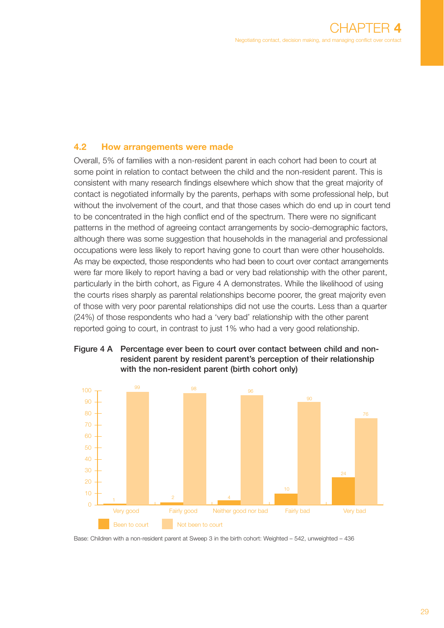#### **4.2 How arrangements were made**

Overall, 5% of families with a non-resident parent in each cohort had been to court at some point in relation to contact between the child and the non-resident parent. This is consistent with many research findings elsewhere which show that the great majority of contact is negotiated informally by the parents, perhaps with some professional help, but without the involvement of the court, and that those cases which do end up in court tend to be concentrated in the high conflict end of the spectrum. There were no significant patterns in the method of agreeing contact arrangements by socio-demographic factors, although there was some suggestion that households in the managerial and professional occupations were less likely to report having gone to court than were other households. As may be expected, those respondents who had been to court over contact arrangements were far more likely to report having a bad or very bad relationship with the other parent, particularly in the birth cohort, as Figure 4 A demonstrates. While the likelihood of using the courts rises sharply as parental relationships become poorer, the great majority even of those with very poor parental relationships did not use the courts. Less than a quarter (24%) of those respondents who had a 'very bad' relationship with the other parent reported going to court, in contrast to just 1% who had a very good relationship.

#### **Figure 4 A Percentage ever been to court over contact between child and nonresident parent by resident parent's perception of their relationship with the non-resident parent (birth cohort only)**



Base: Children with a non-resident parent at Sweep 3 in the birth cohort: Weighted – 542, unweighted – 436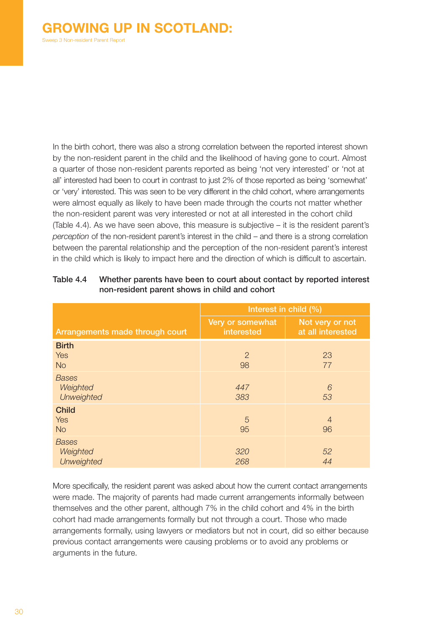Sweep 3 Non-resident Parent Report

In the birth cohort, there was also a strong correlation between the reported interest shown by the non-resident parent in the child and the likelihood of having gone to court. Almost a quarter of those non-resident parents reported as being 'not very interested' or 'not at all' interested had been to court in contrast to just 2% of those reported as being 'somewhat' or 'very' interested. This was seen to be very different in the child cohort, where arrangements were almost equally as likely to have been made through the courts not matter whether the non-resident parent was very interested or not at all interested in the cohort child (Table 4.4). As we have seen above, this measure is subjective – it is the resident parent's *perception* of the non-resident parent's interest in the child – and there is a strong correlation between the parental relationship and the perception of the non-resident parent's interest in the child which is likely to impact here and the direction of which is difficult to ascertain.

|                                               | Interest in child (%)          |                                      |  |
|-----------------------------------------------|--------------------------------|--------------------------------------|--|
| Arrangements made through court               | Very or somewhat<br>interested | Not very or not<br>at all interested |  |
| <b>Birth</b><br>Yes<br><b>No</b>              | $\overline{2}$<br>98           | 23<br>77                             |  |
| <b>Bases</b><br>Weighted<br>Unweighted        | 447<br>383                     | 6<br>53                              |  |
| <b>Child</b><br>Yes<br><b>No</b>              | 5<br>95                        | $\overline{4}$<br>96                 |  |
| <b>Bases</b><br>Weighted<br><b>Unweighted</b> | 320<br>268                     | 52<br>44                             |  |

#### **Table 4.4 Whether parents have been to court about contact by reported interest non-resident parent shows in child and cohort**

More specifically, the resident parent was asked about how the current contact arrangements were made. The majority of parents had made current arrangements informally between themselves and the other parent, although 7% in the child cohort and 4% in the birth cohort had made arrangements formally but not through a court. Those who made arrangements formally, using lawyers or mediators but not in court, did so either because previous contact arrangements were causing problems or to avoid any problems or arguments in the future.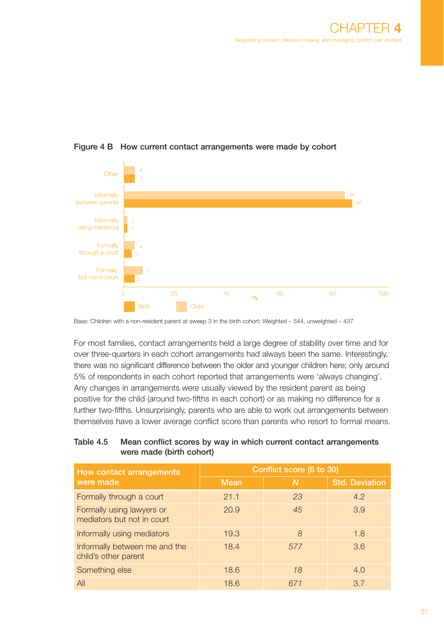

**Figure 4 B How current contact arrangements were made by cohort**

Base: Children with a non-resident parent at sweep 3 in the birth cohort: Weighted – 544, unweighted – 437

For most families, contact arrangements held a large degree of stability over time and for over three-quarters in each cohort arrangements had always been the same. Interestingly, there was no significant difference between the older and younger children here; only around 5% of respondents in each cohort reported that arrangements were 'always changing'. Any changes in arrangements were usually viewed by the resident parent as being positive for the child (around two-fifths in each cohort) or as making no difference for a further two-fifths. Unsurprisingly, parents who are able to work out arrangements between themselves have a lower average conflict score than parents who resort to formal means.

| How contact arrangements                                | Conflict score (6 to 30) |     |                       |
|---------------------------------------------------------|--------------------------|-----|-----------------------|
| were made                                               | <b>Mean</b>              | N   | <b>Std. Deviation</b> |
| Formally through a court                                | 21.1                     | 23  | $4.2^{\circ}$         |
| Formally using lawyers or<br>mediators but not in court | 20.9                     | 45  | 3.9                   |
| Informally using mediators                              | 19.3                     | 8   | 1.8                   |
| Informally between me and the<br>child's other parent   | 18.4                     | 577 | 3.6                   |
| Something else                                          | 18.6                     | 18  | 4.0                   |
| All                                                     | 18.6                     | 671 | 3.7                   |

#### **Table 4.5 Mean conflict scores by way in which current contact arrangements were made (birth cohort)**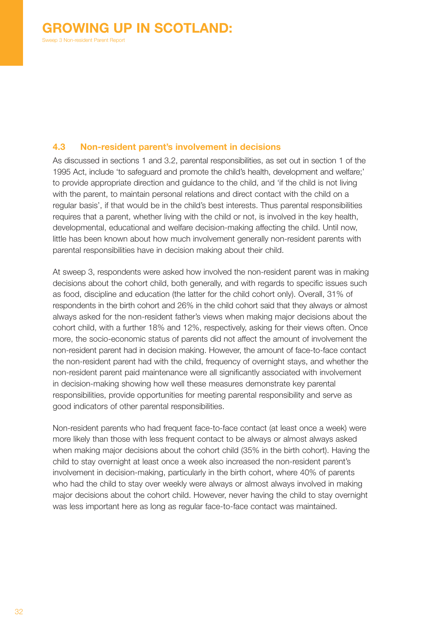#### **4.3 Non-resident parent's involvement in decisions**

As discussed in sections 1 and 3.2, parental responsibilities, as set out in section 1 of the 1995 Act, include 'to safeguard and promote the child's health, development and welfare;' to provide appropriate direction and guidance to the child, and 'if the child is not living with the parent, to maintain personal relations and direct contact with the child on a regular basis', if that would be in the child's best interests. Thus parental responsibilities requires that a parent, whether living with the child or not, is involved in the key health, developmental, educational and welfare decision-making affecting the child. Until now, little has been known about how much involvement generally non-resident parents with parental responsibilities have in decision making about their child.

At sweep 3, respondents were asked how involved the non-resident parent was in making decisions about the cohort child, both generally, and with regards to specific issues such as food, discipline and education (the latter for the child cohort only). Overall, 31% of respondents in the birth cohort and 26% in the child cohort said that they always or almost always asked for the non-resident father's views when making major decisions about the cohort child, with a further 18% and 12%, respectively, asking for their views often. Once more, the socio-economic status of parents did not affect the amount of involvement the non-resident parent had in decision making. However, the amount of face-to-face contact the non-resident parent had with the child, frequency of overnight stays, and whether the non-resident parent paid maintenance were all significantly associated with involvement in decision-making showing how well these measures demonstrate key parental responsibilities, provide opportunities for meeting parental responsibility and serve as good indicators of other parental responsibilities.

Non-resident parents who had frequent face-to-face contact (at least once a week) were more likely than those with less frequent contact to be always or almost always asked when making major decisions about the cohort child (35% in the birth cohort). Having the child to stay overnight at least once a week also increased the non-resident parent's involvement in decision-making, particularly in the birth cohort, where 40% of parents who had the child to stay over weekly were always or almost always involved in making major decisions about the cohort child. However, never having the child to stay overnight was less important here as long as regular face-to-face contact was maintained.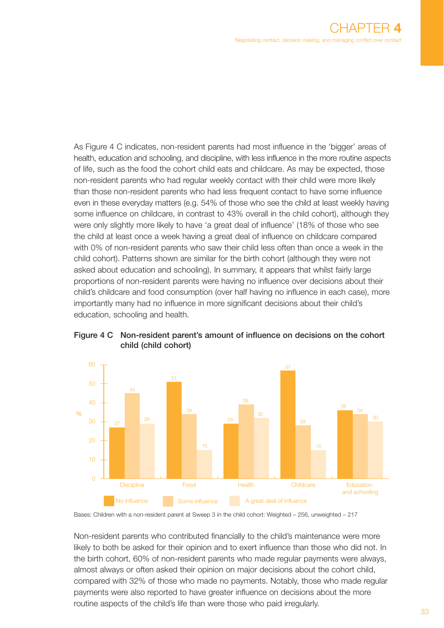As Figure 4 C indicates, non-resident parents had most influence in the 'bigger' areas of health, education and schooling, and discipline, with less influence in the more routine aspects of life, such as the food the cohort child eats and childcare. As may be expected, those non-resident parents who had regular weekly contact with their child were more likely than those non-resident parents who had less frequent contact to have some influence even in these everyday matters (e.g. 54% of those who see the child at least weekly having some influence on childcare, in contrast to 43% overall in the child cohort), although they were only slightly more likely to have 'a great deal of influence' (18% of those who see the child at least once a week having a great deal of influence on childcare compared with 0% of non-resident parents who saw their child less often than once a week in the child cohort). Patterns shown are similar for the birth cohort (although they were not asked about education and schooling). In summary, it appears that whilst fairly large proportions of non-resident parents were having no influence over decisions about their child's childcare and food consumption (over half having no influence in each case), more importantly many had no influence in more significant decisions about their child's education, schooling and health.



**Figure 4 C Non-resident parent's amount of influence on decisions on the cohort child (child cohort)**

Non-resident parents who contributed financially to the child's maintenance were more likely to both be asked for their opinion and to exert influence than those who did not. In the birth cohort, 60% of non-resident parents who made regular payments were always, almost always or often asked their opinion on major decisions about the cohort child, compared with 32% of those who made no payments. Notably, those who made regular payments were also reported to have greater influence on decisions about the more routine aspects of the child's life than were those who paid irregularly.

Bases: Children with a non-resident parent at Sweep 3 in the child cohort: Weighted – 256, unweighted – 217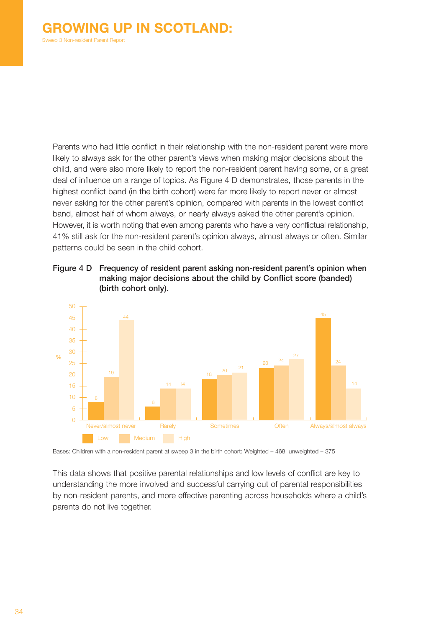Sweep 3 Non-resident Parent Report

Parents who had little conflict in their relationship with the non-resident parent were more likely to always ask for the other parent's views when making major decisions about the child, and were also more likely to report the non-resident parent having some, or a great deal of influence on a range of topics. As Figure 4 D demonstrates, those parents in the highest conflict band (in the birth cohort) were far more likely to report never or almost never asking for the other parent's opinion, compared with parents in the lowest conflict band, almost half of whom always, or nearly always asked the other parent's opinion. However, it is worth noting that even among parents who have a very conflictual relationship, 41% still ask for the non-resident parent's opinion always, almost always or often. Similar patterns could be seen in the child cohort.





Bases: Children with a non-resident parent at sweep 3 in the birth cohort: Weighted – 468, unweighted – 375

This data shows that positive parental relationships and low levels of conflict are key to understanding the more involved and successful carrying out of parental responsibilities by non-resident parents, and more effective parenting across households where a child's parents do not live together.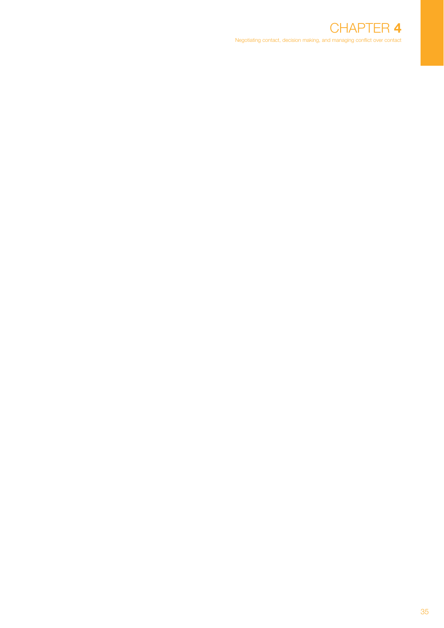Negotiating contact, decision making, and managing conflict over contact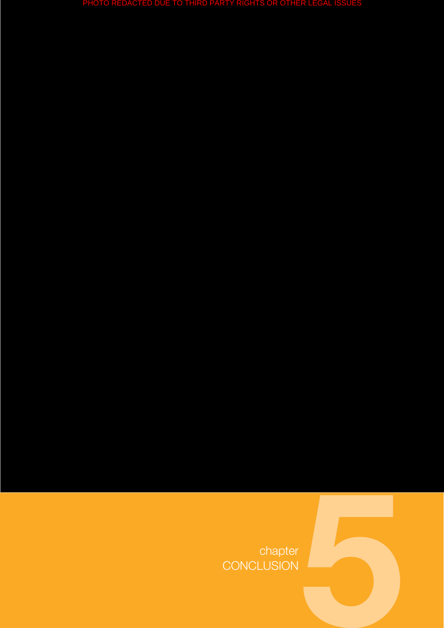PHOTO REDACTED DUE TO THIRD PARTY RIGHTS OR OTHER LEGAL ISSUES

chapter<br>CONCLUSION CONCLUSION<br>CONCLUSION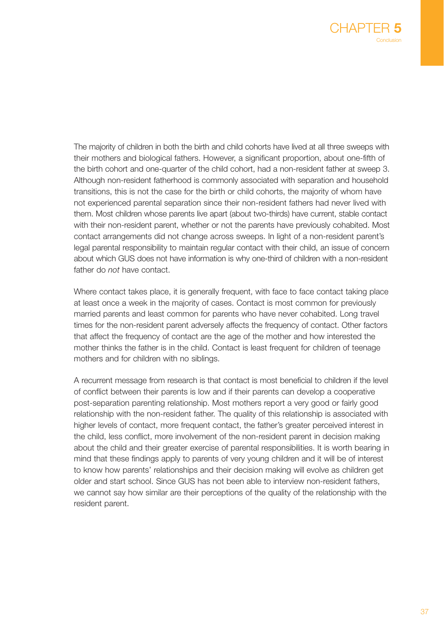

The majority of children in both the birth and child cohorts have lived at all three sweeps with their mothers and biological fathers. However, a significant proportion, about one-fifth of the birth cohort and one-quarter of the child cohort, had a non-resident father at sweep 3. Although non-resident fatherhood is commonly associated with separation and household transitions, this is not the case for the birth or child cohorts, the majority of whom have not experienced parental separation since their non-resident fathers had never lived with them. Most children whose parents live apart (about two-thirds) have current, stable contact with their non-resident parent, whether or not the parents have previously cohabited. Most contact arrangements did not change across sweeps. In light of a non-resident parent's legal parental responsibility to maintain regular contact with their child, an issue of concern about which GUS does not have information is why one-third of children with a non-resident father do *not* have contact.

Where contact takes place, it is generally frequent, with face to face contact taking place at least once a week in the majority of cases. Contact is most common for previously married parents and least common for parents who have never cohabited. Long travel times for the non-resident parent adversely affects the frequency of contact. Other factors that affect the frequency of contact are the age of the mother and how interested the mother thinks the father is in the child. Contact is least frequent for children of teenage mothers and for children with no siblings.

A recurrent message from research is that contact is most beneficial to children if the level of conflict between their parents is low and if their parents can develop a cooperative post-separation parenting relationship. Most mothers report a very good or fairly good relationship with the non-resident father. The quality of this relationship is associated with higher levels of contact, more frequent contact, the father's greater perceived interest in the child, less conflict, more involvement of the non-resident parent in decision making about the child and their greater exercise of parental responsibilities. It is worth bearing in mind that these findings apply to parents of very young children and it will be of interest to know how parents' relationships and their decision making will evolve as children get older and start school. Since GUS has not been able to interview non-resident fathers, we cannot say how similar are their perceptions of the quality of the relationship with the resident parent.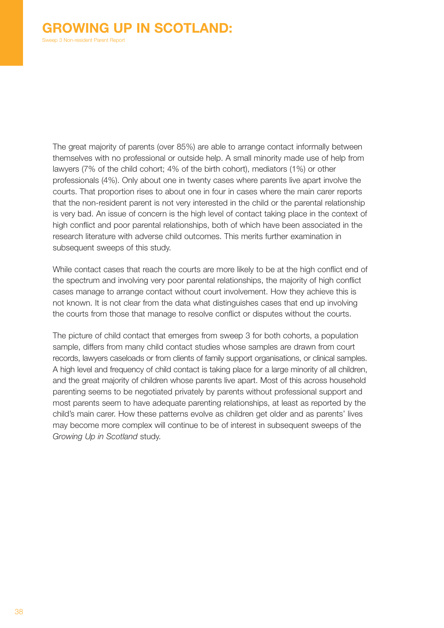Sweep 3 Non-resident Parent Report

The great majority of parents (over 85%) are able to arrange contact informally between themselves with no professional or outside help. A small minority made use of help from lawyers (7% of the child cohort; 4% of the birth cohort), mediators (1%) or other professionals (4%). Only about one in twenty cases where parents live apart involve the courts. That proportion rises to about one in four in cases where the main carer reports that the non-resident parent is not very interested in the child or the parental relationship is very bad. An issue of concern is the high level of contact taking place in the context of high conflict and poor parental relationships, both of which have been associated in the research literature with adverse child outcomes. This merits further examination in subsequent sweeps of this study.

While contact cases that reach the courts are more likely to be at the high conflict end of the spectrum and involving very poor parental relationships, the majority of high conflict cases manage to arrange contact without court involvement. How they achieve this is not known. It is not clear from the data what distinguishes cases that end up involving the courts from those that manage to resolve conflict or disputes without the courts.

The picture of child contact that emerges from sweep 3 for both cohorts, a population sample, differs from many child contact studies whose samples are drawn from court records, lawyers caseloads or from clients of family support organisations, or clinical samples. A high level and frequency of child contact is taking place for a large minority of all children, and the great majority of children whose parents live apart. Most of this across household parenting seems to be negotiated privately by parents without professional support and most parents seem to have adequate parenting relationships, at least as reported by the child's main carer. How these patterns evolve as children get older and as parents' lives may become more complex will continue to be of interest in subsequent sweeps of the *Growing Up in Scotland* study.